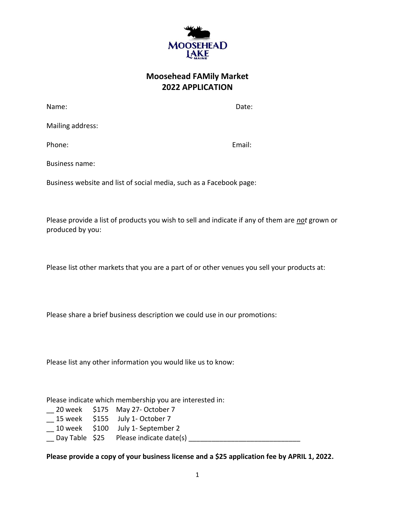

## **Moosehead FAMily Market 2022 APPLICATION**

Name: **Name:** Date: **Name:** 2008. **Date:** 2008. **Date:** 2008. **Date:** 2008. **Date:** 2008. 2014. 2015. 2016. 2017. 2018. 2017. 2018. 2017. 2018. 2017. 2018. 2017. 2018. 2017. 2018. 2017. 2018. 2018. 2018. 2018. 2018. 2018.

Mailing address:

Phone: Email: Email: Email: Email: Email: Email: Email: Email: Email: Email: Email: Email: Email: Email: Email: Email: Email: Email: Email: Email: Email: Email: Email: Email: Email: Email: Email: Email: Email: Email: Email

Business name:

Business website and list of social media, such as a Facebook page:

Please provide a list of products you wish to sell and indicate if any of them are *not* grown or produced by you:

Please list other markets that you are a part of or other venues you sell your products at:

Please share a brief business description we could use in our promotions:

Please list any other information you would like us to know:

Please indicate which membership you are interested in:

- \_\_ 20 week \$175 May 27- October 7
- \_\_ 15 week \$155 July 1- October 7
- \_\_ 10 week \$100 July 1- September 2
- \_\_ Day Table \$25 Please indicate date(s) \_\_\_\_\_\_\_\_\_\_\_\_\_\_\_\_\_\_\_\_\_\_\_\_\_\_\_\_\_

**Please provide a copy of your business license and a \$25 application fee by APRIL 1, 2022.**